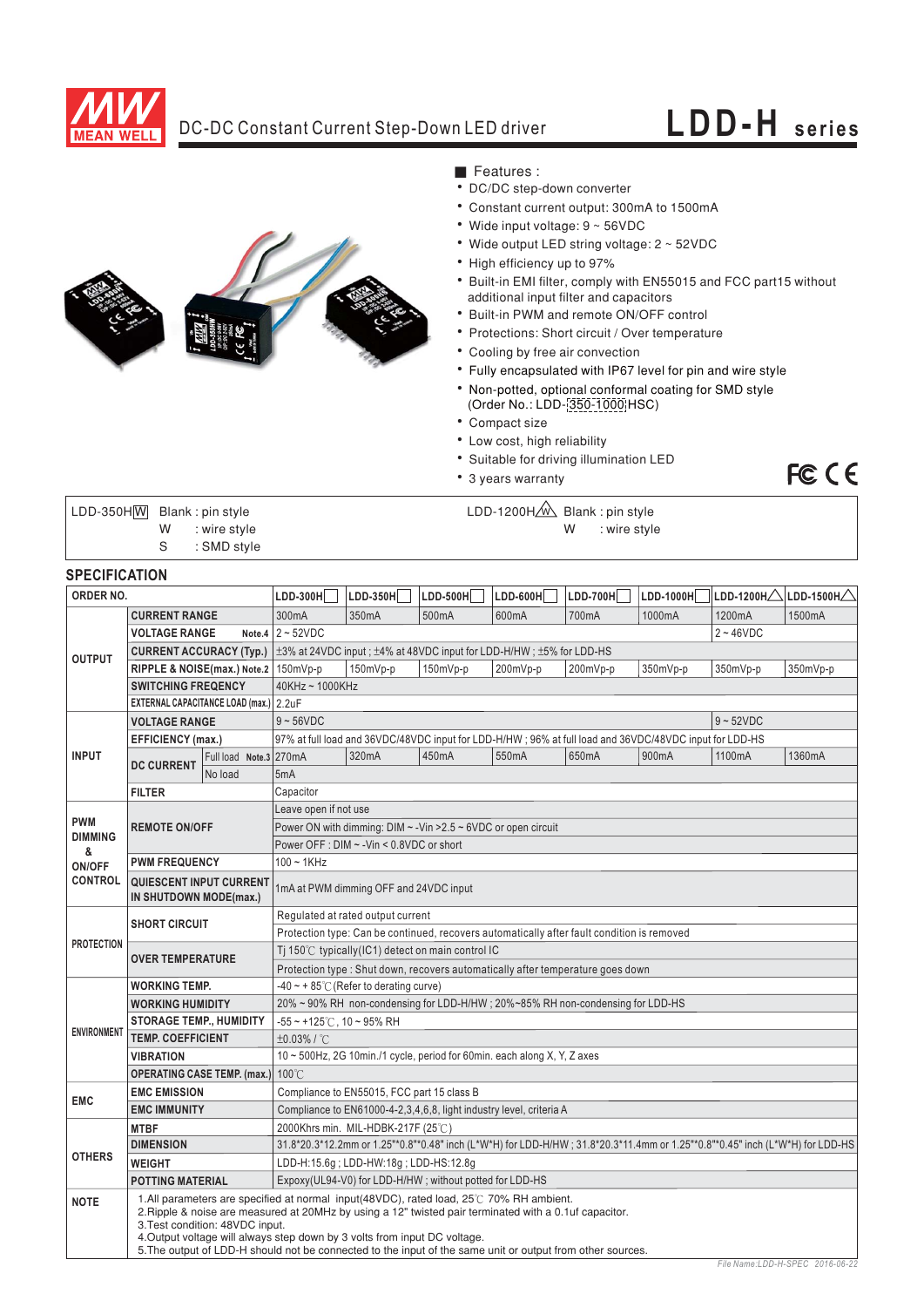

## DC-DC Constant Current Step-Down LED driver **LDD-H series**

FC CE



- Features :
- DC/DC step-down converter
- Constant current output: 300mA to 1500mA
- Wide input voltage:  $9 \sim 56$ VDC
- Wide output LED string voltage: 2 ~ 52VDC
- High efficiency up to 97%
- Built-in EMI filter, comply with EN55015 and FCC part15 without additional input filter and capacitors
- Built-in PWM and remote ON/OFF control
- Protections: Short circuit / Over temperature
- Cooling by free air convection
- Fully encapsulated with IP67 level for pin and wire style
- Non-potted, optional conformal coating for SMD style
- (Order No.: LDD- 350-1000 HSC)
- Compact size
- Low cost, high reliability
- Suitable for driving illumination LED
- 3 years warranty

LDD-350H|<u>W</u> Blank : pin style LDD-1200H<u>/w</u> S : SMD style

Blank : pin style LDD-1200H<u>/w\</u> Blank : pin style W : wire style N : wire style

### **SPECIFICATION**

| ORDER NO.                              |                                                          | LDD-300H                               | LDD-350H                                                                                                                     | $LDD-500H$                                                                                                                                                                                                                                                                                                                                                                                   | $LDD-600H$ | LDD-700H | LDD-1000H | LDD-1200H $\triangle$ | $ $ LDD-1500H $\triangle$ |          |        |
|----------------------------------------|----------------------------------------------------------|----------------------------------------|------------------------------------------------------------------------------------------------------------------------------|----------------------------------------------------------------------------------------------------------------------------------------------------------------------------------------------------------------------------------------------------------------------------------------------------------------------------------------------------------------------------------------------|------------|----------|-----------|-----------------------|---------------------------|----------|--------|
| <b>CURRENT RANGE</b>                   |                                                          | 300mA                                  | 350mA                                                                                                                        | 500mA                                                                                                                                                                                                                                                                                                                                                                                        | 600mA      | 700mA    | 1000mA    | 1200mA                | 1500mA                    |          |        |
| <b>OUTPUT</b>                          | <b>VOLTAGE RANGE</b>                                     |                                        | Note.4 $2 \sim 52$ VDC<br>$2 - 46$ VDC                                                                                       |                                                                                                                                                                                                                                                                                                                                                                                              |            |          |           |                       |                           |          |        |
|                                        |                                                          |                                        | CURRENT ACCURACY (Typ.)   ±3% at 24VDC input ; ±4% at 48VDC input for LDD-H/HW ; ±5% for LDD-HS                              |                                                                                                                                                                                                                                                                                                                                                                                              |            |          |           |                       |                           |          |        |
|                                        | RIPPLE & NOISE(max.) Note.2   150mVp-p                   |                                        |                                                                                                                              | 150mVp-p                                                                                                                                                                                                                                                                                                                                                                                     | $150mVp-p$ | 200mVp-p | 200mVp-p  | 350mVp-p              | 350mVp-p                  | 350mVp-p |        |
|                                        | <b>SWITCHING FREQENCY</b>                                |                                        | 40KHz~1000KHz                                                                                                                |                                                                                                                                                                                                                                                                                                                                                                                              |            |          |           |                       |                           |          |        |
| EXTERNAL CAPACITANCE LOAD (max.) 2.2uF |                                                          |                                        |                                                                                                                              |                                                                                                                                                                                                                                                                                                                                                                                              |            |          |           |                       |                           |          |        |
| <b>VOLTAGE RANGE</b>                   |                                                          | $9 - 52VDC$<br>$9 - 56VDC$             |                                                                                                                              |                                                                                                                                                                                                                                                                                                                                                                                              |            |          |           |                       |                           |          |        |
|                                        | <b>EFFICIENCY</b> (max.)                                 |                                        | 97% at full load and 36VDC/48VDC input for LDD-H/HW; 96% at full load and 36VDC/48VDC input for LDD-HS                       |                                                                                                                                                                                                                                                                                                                                                                                              |            |          |           |                       |                           |          |        |
| <b>INPUT</b>                           | <b>DC CURRENT</b>                                        | Full load Note.3 270mA                 |                                                                                                                              |                                                                                                                                                                                                                                                                                                                                                                                              | 320mA      | 450mA    | 550mA     | 650mA                 | 900mA                     | 1100mA   | 1360mA |
|                                        |                                                          | No load                                |                                                                                                                              | 5mA                                                                                                                                                                                                                                                                                                                                                                                          |            |          |           |                       |                           |          |        |
|                                        | <b>FILTER</b>                                            |                                        |                                                                                                                              | Capacitor                                                                                                                                                                                                                                                                                                                                                                                    |            |          |           |                       |                           |          |        |
|                                        |                                                          |                                        |                                                                                                                              | Leave open if not use                                                                                                                                                                                                                                                                                                                                                                        |            |          |           |                       |                           |          |        |
| <b>PWM</b>                             | <b>REMOTE ON/OFF</b>                                     |                                        |                                                                                                                              | Power ON with dimming: $DIM \sim$ -Vin > 2.5 $\sim$ 6VDC or open circuit                                                                                                                                                                                                                                                                                                                     |            |          |           |                       |                           |          |        |
| <b>DIMMING</b><br>&                    |                                                          |                                        |                                                                                                                              | Power OFF : DIM ~ - Vin < 0.8VDC or short                                                                                                                                                                                                                                                                                                                                                    |            |          |           |                       |                           |          |        |
| ON/OFF                                 | <b>PWM FREQUENCY</b>                                     |                                        |                                                                                                                              | $100 - 1$ KHz                                                                                                                                                                                                                                                                                                                                                                                |            |          |           |                       |                           |          |        |
| <b>CONTROL</b>                         | <b>QUIESCENT INPUT CURRENT</b><br>IN SHUTDOWN MODE(max.) |                                        | 1mA at PWM dimming OFF and 24VDC input                                                                                       |                                                                                                                                                                                                                                                                                                                                                                                              |            |          |           |                       |                           |          |        |
|                                        | <b>SHORT CIRCUIT</b>                                     |                                        | Regulated at rated output current                                                                                            |                                                                                                                                                                                                                                                                                                                                                                                              |            |          |           |                       |                           |          |        |
|                                        |                                                          |                                        | Protection type: Can be continued, recovers automatically after fault condition is removed                                   |                                                                                                                                                                                                                                                                                                                                                                                              |            |          |           |                       |                           |          |        |
| <b>PROTECTION</b>                      | <b>OVER TEMPERATURE</b>                                  |                                        | Ti 150 $\degree$ C typically (IC1) detect on main control IC                                                                 |                                                                                                                                                                                                                                                                                                                                                                                              |            |          |           |                       |                           |          |        |
|                                        |                                                          |                                        | Protection type : Shut down, recovers automatically after temperature goes down                                              |                                                                                                                                                                                                                                                                                                                                                                                              |            |          |           |                       |                           |          |        |
| <b>WORKING TEMP.</b>                   |                                                          | -40 ~ + 85°C (Refer to derating curve) |                                                                                                                              |                                                                                                                                                                                                                                                                                                                                                                                              |            |          |           |                       |                           |          |        |
|                                        | <b>WORKING HUMIDITY</b>                                  |                                        |                                                                                                                              | 20% ~ 90% RH non-condensing for LDD-H/HW; 20%~85% RH non-condensing for LDD-HS                                                                                                                                                                                                                                                                                                               |            |          |           |                       |                           |          |        |
| <b>ENVIRONMENT</b>                     | <b>STORAGE TEMP., HUMIDITY</b>                           |                                        | $-55 \sim +125^{\circ}$ C, 10 ~ 95% RH                                                                                       |                                                                                                                                                                                                                                                                                                                                                                                              |            |          |           |                       |                           |          |        |
|                                        | <b>TEMP, COEFFICIENT</b>                                 |                                        | ±0.03% / °C                                                                                                                  |                                                                                                                                                                                                                                                                                                                                                                                              |            |          |           |                       |                           |          |        |
|                                        | <b>VIBRATION</b>                                         |                                        | 10 $\sim$ 500Hz, 2G 10min./1 cycle, period for 60min. each along X, Y, Z axes                                                |                                                                                                                                                                                                                                                                                                                                                                                              |            |          |           |                       |                           |          |        |
|                                        | <b>OPERATING CASE TEMP. (max.)</b>                       |                                        | 100°C                                                                                                                        |                                                                                                                                                                                                                                                                                                                                                                                              |            |          |           |                       |                           |          |        |
| <b>EMC</b>                             | <b>EMC EMISSION</b>                                      |                                        |                                                                                                                              | Compliance to EN55015, FCC part 15 class B                                                                                                                                                                                                                                                                                                                                                   |            |          |           |                       |                           |          |        |
|                                        | <b>EMC IMMUNITY</b>                                      |                                        |                                                                                                                              | Compliance to EN61000-4-2, 3, 4, 6, 8, light industry level, criteria A                                                                                                                                                                                                                                                                                                                      |            |          |           |                       |                           |          |        |
| <b>OTHERS</b>                          | <b>MTBF</b>                                              |                                        | 2000Khrs min. MIL-HDBK-217F (25°C)                                                                                           |                                                                                                                                                                                                                                                                                                                                                                                              |            |          |           |                       |                           |          |        |
|                                        | <b>DIMENSION</b>                                         |                                        | 31.8*20.3*12.2mm or 1.25"*0.8"*0.48" inch (L*W*H) for LDD-H/HW; 31.8*20.3*11.4mm or 1.25"*0.8"*0.45" inch (L*W*H) for LDD-HS |                                                                                                                                                                                                                                                                                                                                                                                              |            |          |           |                       |                           |          |        |
|                                        | <b>WEIGHT</b>                                            |                                        | LDD-H:15.6g; LDD-HW:18g; LDD-HS:12.8g                                                                                        |                                                                                                                                                                                                                                                                                                                                                                                              |            |          |           |                       |                           |          |        |
|                                        | <b>POTTING MATERIAL</b>                                  |                                        | Expoxy(UL94-V0) for LDD-H/HW; without potted for LDD-HS                                                                      |                                                                                                                                                                                                                                                                                                                                                                                              |            |          |           |                       |                           |          |        |
| <b>NOTE</b>                            | 3. Test condition: 48VDC input.                          |                                        |                                                                                                                              | 1.All parameters are specified at normal input(48VDC), rated load, 25°C 70% RH ambient.<br>2. Ripple & noise are measured at 20MHz by using a 12" twisted pair terminated with a 0.1uf capacitor.<br>4. Output voltage will always step down by 3 volts from input DC voltage.<br>5. The output of LDD-H should not be connected to the input of the same unit or output from other sources. |            |          |           |                       |                           |          |        |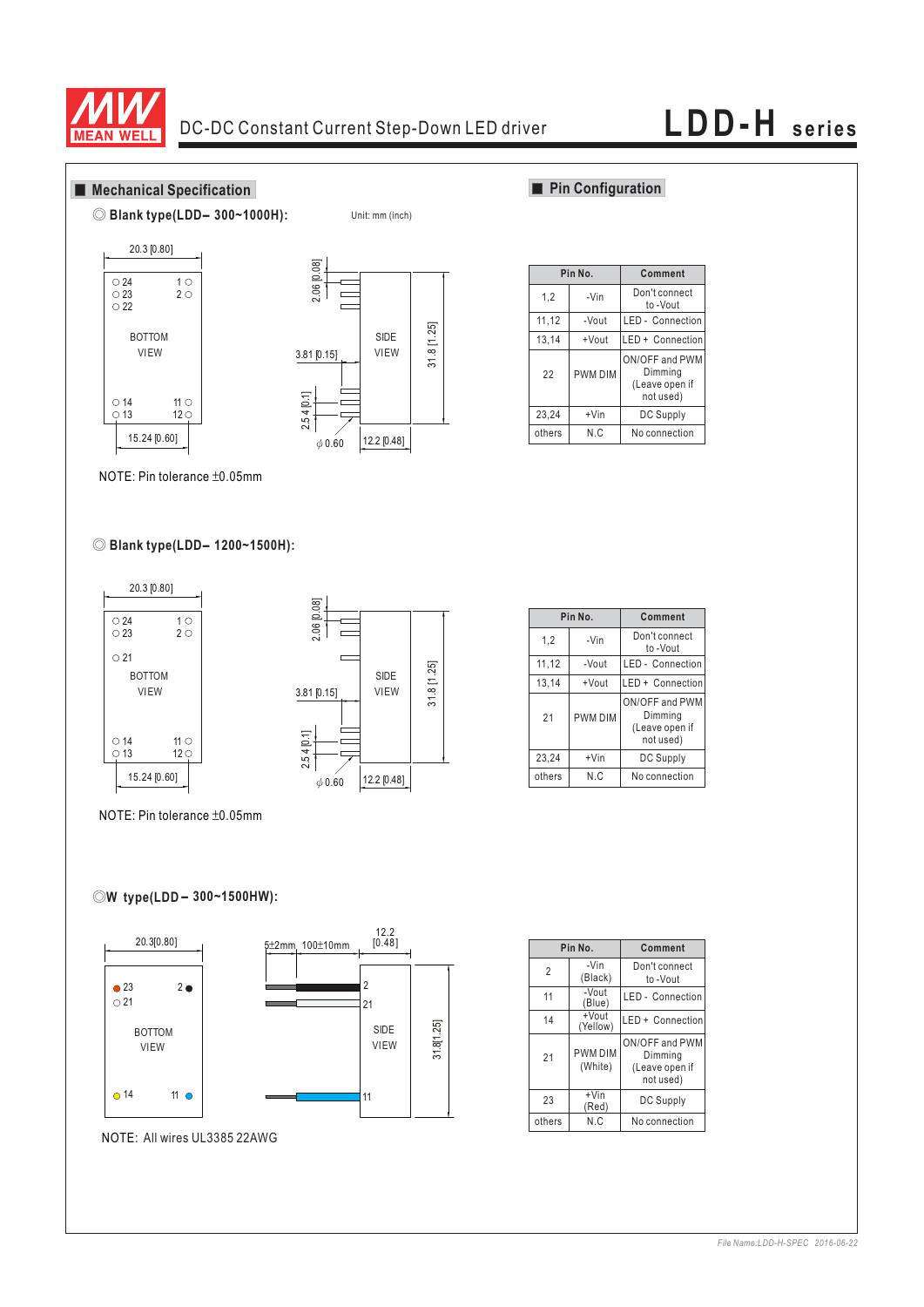

Unit: mm (inch)

### **Mechanical Specification**







### **Pin Configuration**

|                | Pin No.        | Comment                                                  |  |  |
|----------------|----------------|----------------------------------------------------------|--|--|
| 1,2            | -Vin           | Don't connect<br>to -Vout                                |  |  |
| 11,12<br>-Vout |                | <b>LED</b> - Connection                                  |  |  |
| 13,14<br>+Vout |                | LED + Connection                                         |  |  |
| 22             | <b>PWM DIM</b> | ON/OFF and PWM<br>Dimming<br>(Leave open if<br>not used) |  |  |
| 23,24          | $+V$ in        | DC Supply                                                |  |  |
| others         | N.C            | No connection                                            |  |  |

NOTE: Pin tolerance  $\pm 0.05$ mm

## ◎ **Blank type(LDD - 1200~1500H):**



**Pin No.** 23,24 others 1,2 11,12 13,14 21 +Vin N.C -Vin -Vout +Vout PWM DIM **Comment** DC Supply No connection Don't connect to -Vout LED - Connection LED + Connection ON/OFF and PWM Dimming (Leave open if not used)

NOTE: Pin tolerance  $\pm 0.05$ mm

## **-** ◎**W type(LDD 300~1500HW):**



|                | Pin No.                   | Comment                                                  |  |  |
|----------------|---------------------------|----------------------------------------------------------|--|--|
| $\overline{2}$ | -Vin<br>(Black)           | Don't connect<br>to -Vout                                |  |  |
| 11             | -Vout<br>(Blue)           | <b>LED</b> - Connection                                  |  |  |
| 14             | +Vout<br>(Yellow)         | LED + Connection                                         |  |  |
| 21             | <b>PWM DIM</b><br>(White) | ON/OFF and PWM<br>Dimming<br>(Leave open if<br>not used) |  |  |
| 23             | $+V$ in<br>(Red)          | DC Supply                                                |  |  |
| others         | N.C                       | No connection                                            |  |  |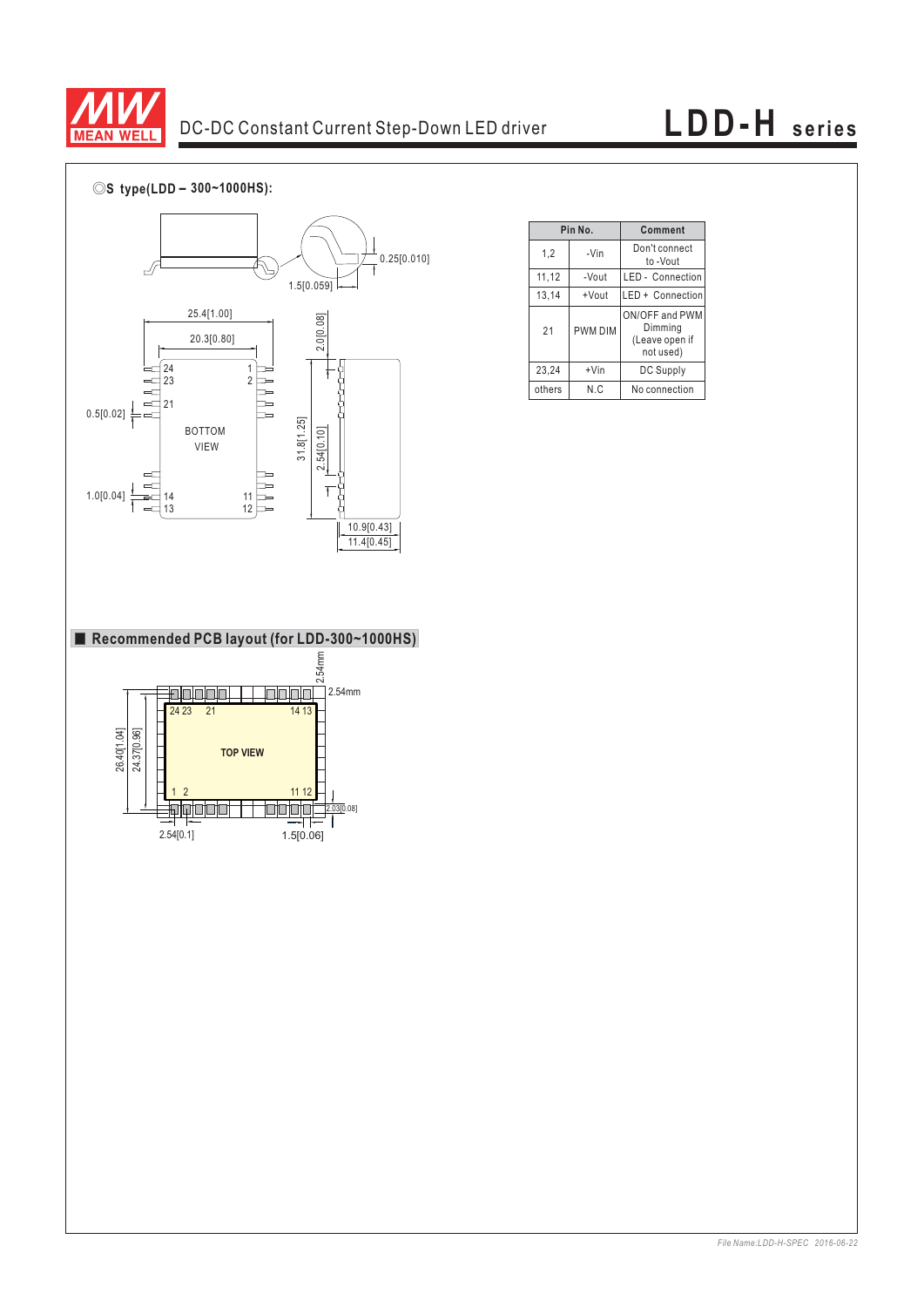

# DC-DC Constant Current Step-Down LED driver **LDD-H series**

◎**S type(LDD - 300~1000HS):**



|                | Pin No.        | Comment                                                  |  |  |
|----------------|----------------|----------------------------------------------------------|--|--|
| 1,2            | -Vin           | Don't connect<br>to -Vout                                |  |  |
| 11,12<br>-Vout |                | <b>LED</b> - Connection                                  |  |  |
| 13,14          | +Vout          | LED + Connection                                         |  |  |
| 21             | <b>PWM DIM</b> | ON/OFF and PWM<br>Dimming<br>(Leave open if<br>not used) |  |  |
| 23,24          | $+V$ in        | DC Supply                                                |  |  |
| N.C<br>others  |                | No connection                                            |  |  |